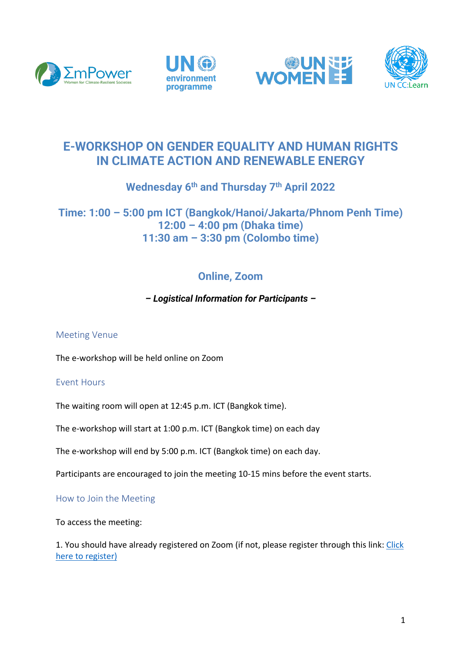







# **E-WORKSHOP ON GENDER EQUALITY AND HUMAN RIGHTS IN CLIMATE ACTION AND RENEWABLE ENERGY**

# **Wednesday 6th and Thursday 7th April 2022**

## **Time: 1:00 – 5:00 pm ICT (Bangkok/Hanoi/Jakarta/Phnom Penh Time) 12:00 – 4:00 pm (Dhaka time) 11:30 am – 3:30 pm (Colombo time)**

# **Online, Zoom**

### *– Logistical Information for Participants –*

### Meeting Venue

The e-workshop will be held online on Zoom

### Event Hours

The waiting room will open at 12:45 p.m. ICT (Bangkok time).

The e-workshop will start at 1:00 p.m. ICT (Bangkok time) on each day

The e-workshop will end by 5:00 p.m. ICT (Bangkok time) on each day.

Participants are encouraged to join the meeting 10-15 mins before the event starts.

How to Join the Meeting

To access the meeting:

1. You should have already registered on Zoom (if not, please register through this link: Click here to register)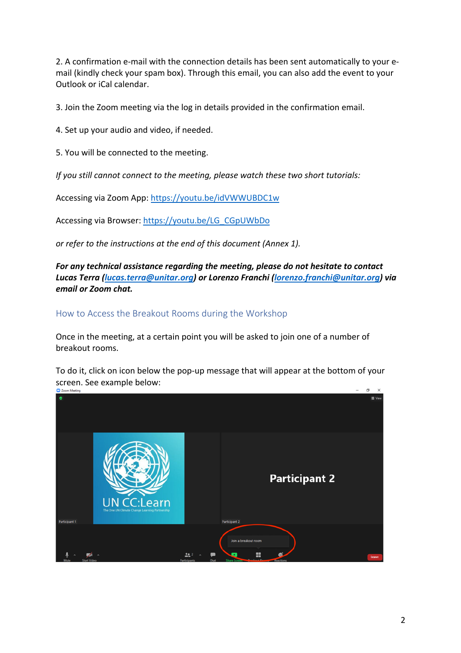2. A confirmation e-mail with the connection details has been sent automatically to your email (kindly check your spam box). Through this email, you can also add the event to your Outlook or iCal calendar.

3. Join the Zoom meeting via the log in details provided in the confirmation email.

4. Set up your audio and video, if needed.

5. You will be connected to the meeting.

*If you still cannot connect to the meeting, please watch these two short tutorials:*

Accessing via Zoom App: https://youtu.be/idVWWUBDC1w

Accessing via Browser: https://youtu.be/LG\_CGpUWbDo

*or refer to the instructions at the end of this document (Annex 1).*

*For any technical assistance regarding the meeting, please do not hesitate to contact Lucas Terra (lucas.terra@unitar.org) or Lorenzo Franchi (lorenzo.franchi@unitar.org) via email or Zoom chat.*

How to Access the Breakout Rooms during the Workshop

Once in the meeting, at a certain point you will be asked to join one of a number of breakout rooms.

To do it, click on icon below the pop-up message that will appear at the bottom of your screen. See example below:

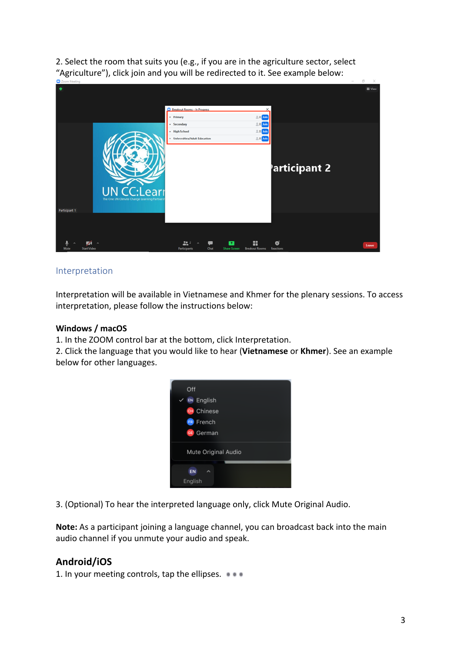2. Select the room that suits you (e.g., if you are in the agriculture sector, select "Agriculture"), click join and you will be redirected to it. See example below:

| <b>CONTRACTOR</b>                                                          |                                                                                                                     |                 |
|----------------------------------------------------------------------------|---------------------------------------------------------------------------------------------------------------------|-----------------|
| $\bullet$                                                                  | <b>Breakout Rooms - In Progress</b><br>$20$ Join<br>* Primary                                                       | <b>III</b> View |
|                                                                            | $20$ Join<br>* Secondary<br>$20$ Join<br>+ High School<br>$20$ Join<br>· Universities/Adult Education               |                 |
|                                                                            | articipant 2                                                                                                        |                 |
| J CC:Learr<br>The One UN Climate Change Learning Partners<br>Participant 1 |                                                                                                                     |                 |
|                                                                            |                                                                                                                     |                 |
| $\sqrt{2}$<br>Mute<br><b>Start Video</b>                                   | x<br>$22^{2}$<br>€<br>٠<br>Chat<br><b>Share Screen</b><br><b>Breakout Rooms</b><br><b>Participants</b><br>Reactions | Leave           |

#### Interpretation

Interpretation will be available in Vietnamese and Khmer for the plenary sessions. To access interpretation, please follow the instructions below:

#### **Windows / macOS**

1. In the ZOOM control bar at the bottom, click Interpretation.

2. Click the language that you would like to hear (**Vietnamese** or **Khmer**). See an example below for other languages.



3. (Optional) To hear the interpreted language only, click Mute Original Audio.

**Note:** As a participant joining a language channel, you can broadcast back into the main audio channel if you unmute your audio and speak.

### **Android/iOS**

1. In your meeting controls, tap the ellipses.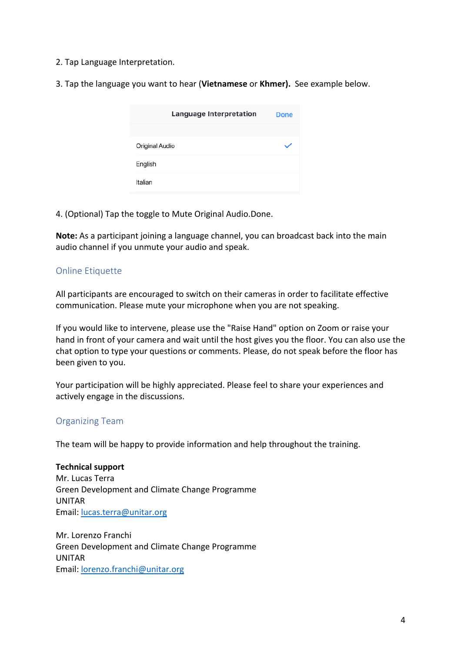2. Tap Language Interpretation.

3. Tap the language you want to hear (**Vietnamese** or **Khmer).** See example below.

| Language Interpretation | Done |
|-------------------------|------|
|                         |      |
| Original Audio          |      |
| English                 |      |
| Italian                 |      |

4. (Optional) Tap the toggle to Mute Original Audio.Done.

**Note:** As a participant joining a language channel, you can broadcast back into the main audio channel if you unmute your audio and speak.

#### Online Etiquette

All participants are encouraged to switch on their cameras in order to facilitate effective communication. Please mute your microphone when you are not speaking.

If you would like to intervene, please use the "Raise Hand" option on Zoom or raise your hand in front of your camera and wait until the host gives you the floor. You can also use the chat option to type your questions or comments. Please, do not speak before the floor has been given to you.

Your participation will be highly appreciated. Please feel to share your experiences and actively engage in the discussions.

#### Organizing Team

The team will be happy to provide information and help throughout the training.

**Technical support** Mr. Lucas Terra Green Development and Climate Change Programme UNITAR Email: lucas.terra@unitar.org

Mr. Lorenzo Franchi Green Development and Climate Change Programme UNITAR Email: lorenzo.franchi@unitar.org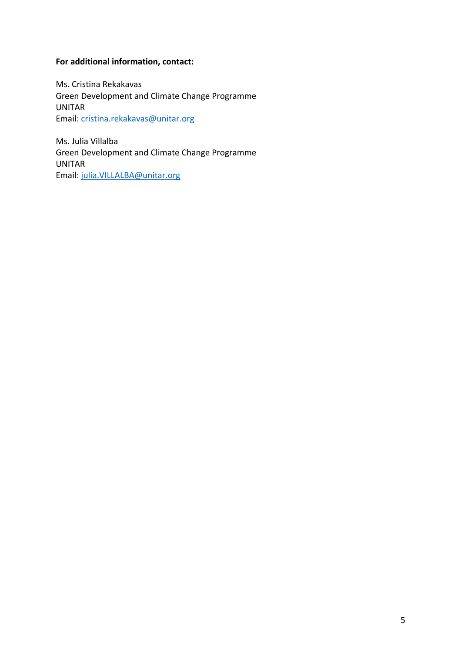#### **For additional information, contact:**

Ms. Cristina Rekakavas Green Development and Climate Change Programme UNITAR Email: cristina.rekakavas@unitar.org

Ms. Julia Villalba Green Development and Climate Change Programme UNITAR Email: julia.VILLALBA@unitar.org